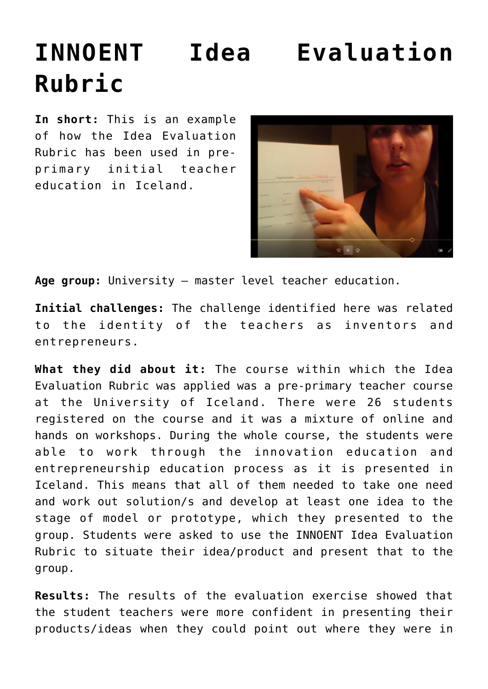## **[INNOENT Idea Evaluation](http://entreassess.com/2018/05/29/innoent-idea-evaluation-rubric-2/) [Rubric](http://entreassess.com/2018/05/29/innoent-idea-evaluation-rubric-2/)**

**In short:** This is an example of how the Idea Evaluation Rubric has been used in preprimary initial teacher education in Iceland.



**Age group:** University – master level teacher education.

**Initial challenges:** The challenge identified here was related to the identity of the teachers as inventors and entrepreneurs.

**What they did about it:** The course within which the Idea Evaluation Rubric was applied was a pre-primary teacher course at the University of Iceland. There were 26 students registered on the course and it was a mixture of online and hands on workshops. During the whole course, the students were able to work through the innovation education and entrepreneurship education process as it is presented in Iceland. This means that all of them needed to take one need and work out solution/s and develop at least one idea to the stage of model or prototype, which they presented to the group. Students were asked to use the INNOENT Idea Evaluation Rubric to situate their idea/product and present that to the group.

**Results:** The results of the evaluation exercise showed that the student teachers were more confident in presenting their products/ideas when they could point out where they were in